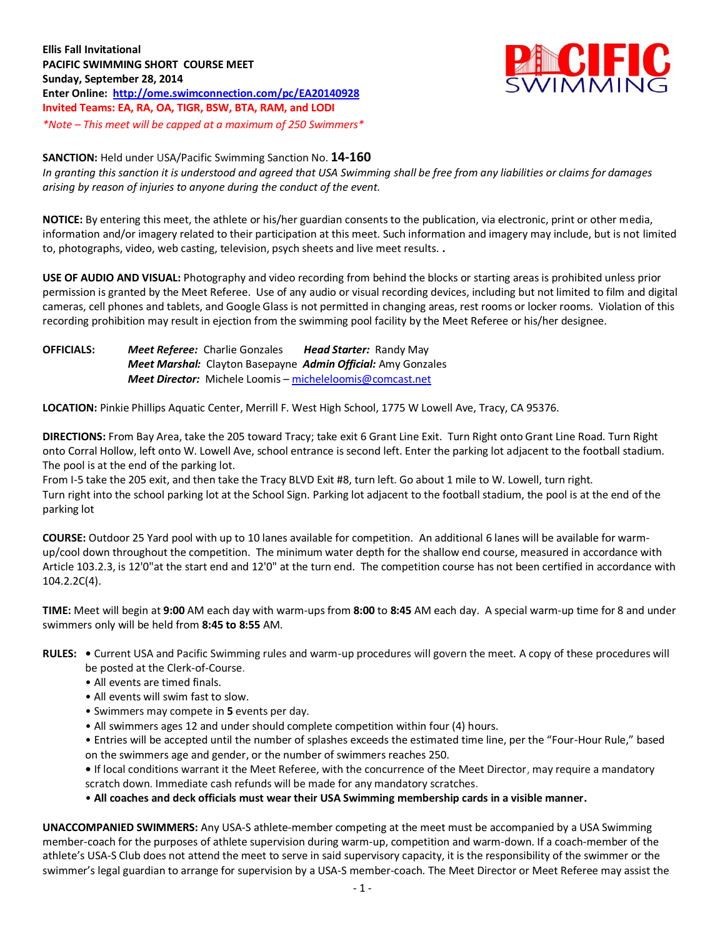

## **SANCTION:** Held under USA/Pacific Swimming Sanction No. **14-160**

*In granting this sanction it is understood and agreed that USA Swimming shall be free from any liabilities or claims for damages arising by reason of injuries to anyone during the conduct of the event.*

**NOTICE:** By entering this meet, the athlete or his/her guardian consents to the publication, via electronic, print or other media, information and/or imagery related to their participation at this meet. Such information and imagery may include, but is not limited to, photographs, video, web casting, television, psych sheets and live meet results. **.**

**USE OF AUDIO AND VISUAL:** Photography and video recording from behind the blocks or starting areas is prohibited unless prior permission is granted by the Meet Referee. Use of any audio or visual recording devices, including but not limited to film and digital cameras, cell phones and tablets, and Google Glass is not permitted in changing areas, rest rooms or locker rooms. Violation of this recording prohibition may result in ejection from the swimming pool facility by the Meet Referee or his/her designee.

**OFFICIALS:** *Meet Referee:* Charlie Gonzales*Head Starter:* Randy May *Meet Marshal:* Clayton Basepayne*Admin Official:* Amy Gonzales *Meet Director:* Michele Loomis – [micheleloomis@comcast.net](mailto:micheleloomis@comcast.net)

**LOCATION:** Pinkie Phillips Aquatic Center, Merrill F. West High School, 1775 W Lowell Ave, Tracy, CA 95376.

**DIRECTIONS:** From Bay Area, take the 205 toward Tracy; take exit 6 Grant Line Exit. Turn Right onto Grant Line Road. Turn Right onto Corral Hollow, left onto W. Lowell Ave, school entrance is second left. Enter the parking lot adjacent to the football stadium. The pool is at the end of the parking lot.

From I-5 take the 205 exit, and then take the Tracy BLVD Exit #8, turn left. Go about 1 mile to W. Lowell, turn right. Turn right into the school parking lot at the School Sign. Parking lot adjacent to the football stadium, the pool is at the end of the parking lot

**COURSE:** Outdoor 25 Yard pool with up to 10 lanes available for competition. An additional 6 lanes will be available for warmup/cool down throughout the competition. The minimum water depth for the shallow end course, measured in accordance with Article 103.2.3, is 12'0"at the start end and 12'0" at the turn end. The competition course has not been certified in accordance with 104.2.2C(4).

**TIME:** Meet will begin at **9:00** AM each day with warm-ups from **8:00** to **8:45** AM each day. A special warm-up time for 8 and under swimmers only will be held from **8:45 to 8:55** AM.

- **RULES:** Current USA and Pacific Swimming rules and warm-up procedures will govern the meet. A copy of these procedures will be posted at the Clerk-of-Course.
	- All events are timed finals.
	- All events will swim fast to slow.
	- Swimmers may compete in **5** events per day.
	- All swimmers ages 12 and under should complete competition within four (4) hours.

• Entries will be accepted until the number of splashes exceeds the estimated time line, per the "Four-Hour Rule," based on the swimmers age and gender, or the number of swimmers reaches 250.

**•** If local conditions warrant it the Meet Referee, with the concurrence of the Meet Director, may require a mandatory scratch down. Immediate cash refunds will be made for any mandatory scratches.

• **All coaches and deck officials must wear their USA Swimming membership cards in a visible manner.** 

**UNACCOMPANIED SWIMMERS:** Any USA-S athlete-member competing at the meet must be accompanied by a USA Swimming member-coach for the purposes of athlete supervision during warm-up, competition and warm-down. If a coach-member of the athlete's USA-S Club does not attend the meet to serve in said supervisory capacity, it is the responsibility of the swimmer or the swimmer's legal guardian to arrange for supervision by a USA-S member-coach. The Meet Director or Meet Referee may assist the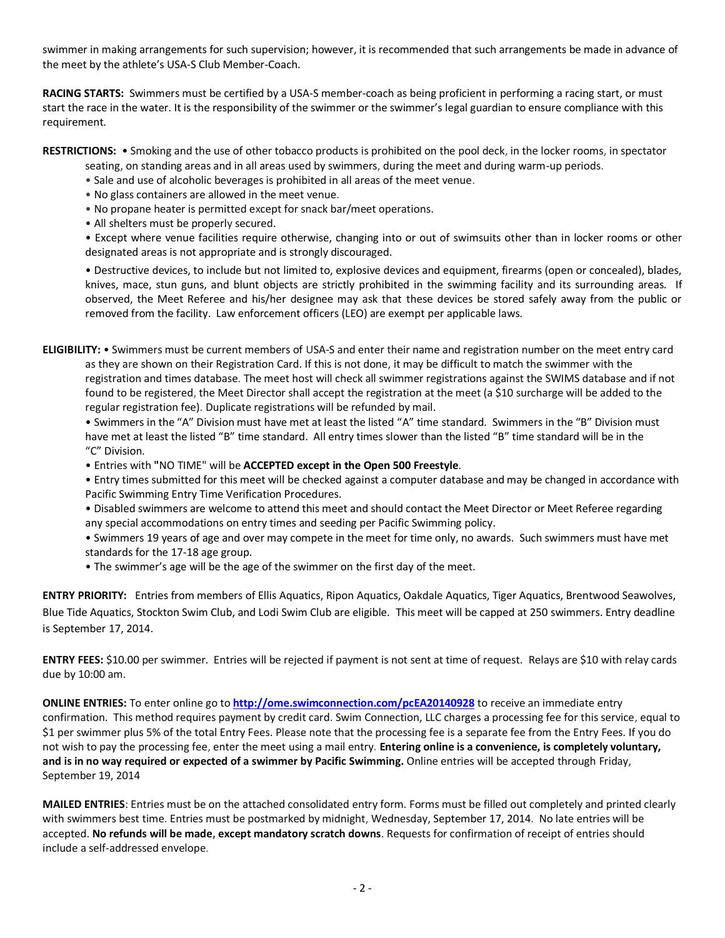swimmer in making arrangements for such supervision; however, it is recommended that such arrangements be made in advance of the meet by the athlete's USA-S Club Member-Coach.

**RACING STARTS:** Swimmers must be certified by a USA-S member-coach as being proficient in performing a racing start, or must start the race in the water. It is the responsibility of the swimmer or the swimmer's legal guardian to ensure compliance with this requirement.

**RESTRICTIONS:** • Smoking and the use of other tobacco products is prohibited on the pool deck, in the locker rooms, in spectator

seating, on standing areas and in all areas used by swimmers, during the meet and during warm-up periods.

- Sale and use of alcoholic beverages is prohibited in all areas of the meet venue.
- No glass containers are allowed in the meet venue.
- No propane heater is permitted except for snack bar/meet operations.
- All shelters must be properly secured.

• Except where venue facilities require otherwise, changing into or out of swimsuits other than in locker rooms or other designated areas is not appropriate and is strongly discouraged.

• Destructive devices, to include but not limited to, explosive devices and equipment, firearms (open or concealed), blades, knives, mace, stun guns, and blunt objects are strictly prohibited in the swimming facility and its surrounding areas. If observed, the Meet Referee and his/her designee may ask that these devices be stored safely away from the public or removed from the facility. Law enforcement officers (LEO) are exempt per applicable laws.

**ELIGIBILITY:** • Swimmers must be current members of USA-S and enter their name and registration number on the meet entry card as they are shown on their Registration Card. If this is not done, it may be difficult to match the swimmer with the registration and times database. The meet host will check all swimmer registrations against the SWIMS database and if not found to be registered, the Meet Director shall accept the registration at the meet (a \$10 surcharge will be added to the regular registration fee). Duplicate registrations will be refunded by mail.

• Swimmers in the "A" Division must have met at least the listed "A" time standard. Swimmers in the "B" Division must have met at least the listed "B" time standard. All entry times slower than the listed "B" time standard will be in the "C" Division.

- Entries with **"**NO TIME" will be **ACCEPTED except in the Open 500 Freestyle**.
- Entry times submitted for this meet will be checked against a computer database and may be changed in accordance with Pacific Swimming Entry Time Verification Procedures.
- Disabled swimmers are welcome to attend this meet and should contact the Meet Director or Meet Referee regarding any special accommodations on entry times and seeding per Pacific Swimming policy.
- Swimmers 19 years of age and over may compete in the meet for time only, no awards. Such swimmers must have met standards for the 17-18 age group.
- The swimmer's age will be the age of the swimmer on the first day of the meet.

**ENTRY PRIORITY:**Entries from members of Ellis Aquatics, Ripon Aquatics, Oakdale Aquatics, Tiger Aquatics, Brentwood Seawolves, Blue Tide Aquatics, Stockton Swim Club, and Lodi Swim Club are eligible. This meet will be capped at 250 swimmers. Entry deadline is September 17, 2014.

**ENTRY FEES:** \$10.00 per swimmer. Entries will be rejected if payment is not sent at time of request. Relays are \$10 with relay cards due by 10:00 am.

**ONLINE ENTRIES:** To enter online go to **<http://ome.swimconnection.com/pcEA20140928>** to receive an immediate entry confirmation. This method requires payment by credit card. Swim Connection, LLC charges a processing fee for this service, equal to \$1 per swimmer plus 5% of the total Entry Fees. Please note that the processing fee is a separate fee from the Entry Fees. If you do not wish to pay the processing fee, enter the meet using a mail entry. **Entering online is a convenience, is completely voluntary, and is in no way required or expected of a swimmer by Pacific Swimming.** Online entries will be accepted through Friday, September 19, 2014

**MAILED ENTRIES**: Entries must be on the attached consolidated entry form. Forms must be filled out completely and printed clearly with swimmers best time. Entries must be postmarked by midnight, Wednesday, September 17, 2014. No late entries will be accepted. **No refunds will be made, except mandatory scratch downs**. Requests for confirmation of receipt of entries should include a self-addressed envelope.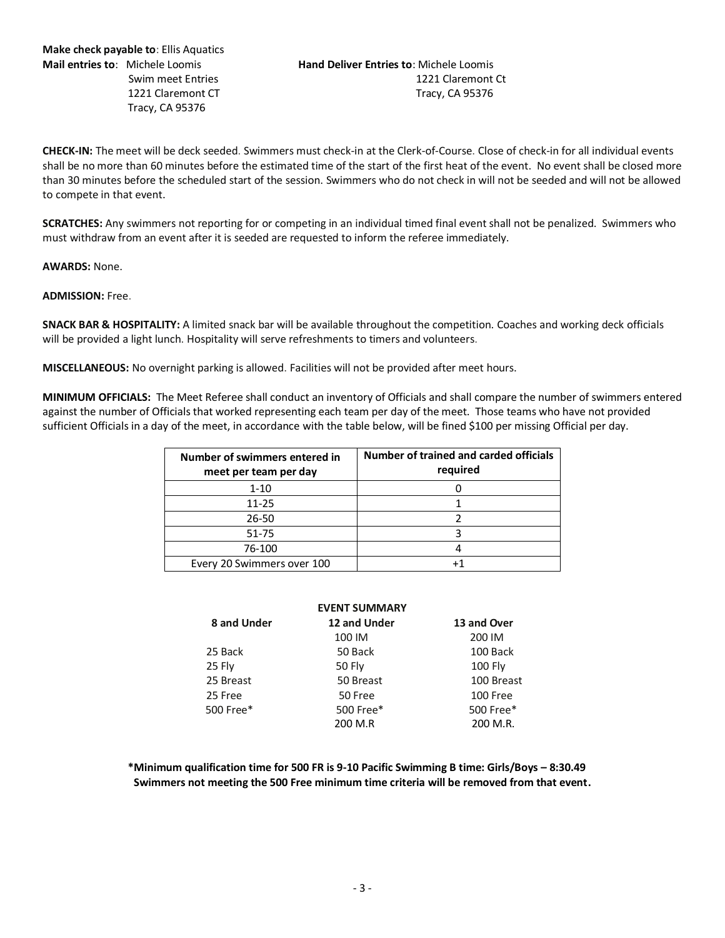**CHECK-IN:** The meet will be deck seeded. Swimmers must check-in at the Clerk-of-Course. Close of check-in for all individual events shall be no more than 60 minutes before the estimated time of the start of the first heat of the event. No event shall be closed more than 30 minutes before the scheduled start of the session. Swimmers who do not check in will not be seeded and will not be allowed to compete in that event.

**SCRATCHES:** Any swimmers not reporting for or competing in an individual timed final event shall not be penalized. Swimmers who must withdraw from an event after it is seeded are requested to inform the referee immediately.

**AWARDS:** None.

## **ADMISSION:** Free.

**SNACK BAR & HOSPITALITY:** A limited snack bar will be available throughout the competition. Coaches and working deck officials will be provided a light lunch. Hospitality will serve refreshments to timers and volunteers.

**MISCELLANEOUS:** No overnight parking is allowed. Facilities will not be provided after meet hours.

**MINIMUM OFFICIALS:** The Meet Referee shall conduct an inventory of Officials and shall compare the number of swimmers entered against the number of Officials that worked representing each team per day of the meet. Those teams who have not provided sufficient Officials in a day of the meet, in accordance with the table below, will be fined \$100 per missing Official per day.

| Number of swimmers entered in<br>meet per team per day | Number of trained and carded officials<br>required |
|--------------------------------------------------------|----------------------------------------------------|
| $1 - 10$                                               |                                                    |
| $11 - 25$                                              |                                                    |
| $26 - 50$                                              |                                                    |
| 51-75                                                  |                                                    |
| 76-100                                                 |                                                    |
| Every 20 Swimmers over 100                             |                                                    |

|             | <b>EVENT SUMMARY</b> |             |
|-------------|----------------------|-------------|
| 8 and Under | 12 and Under         | 13 and Over |
|             | 100 IM               | 200 IM      |
| 25 Back     | 50 Back              | 100 Back    |
| 25 Fly      | 50 Fly               | $100$ Fly   |
| 25 Breast   | 50 Breast            | 100 Breast  |
| 25 Free     | 50 Free              | 100 Free    |
| 500 Free*   | 500 Free*            | 500 Free*   |
|             | 200 M.R              | 200 M.R.    |

**\*Minimum qualification time for 500 FR is 9-10 Pacific Swimming B time: Girls/Boys – 8:30.49 Swimmers not meeting the 500 Free minimum time criteria will be removed from that event.**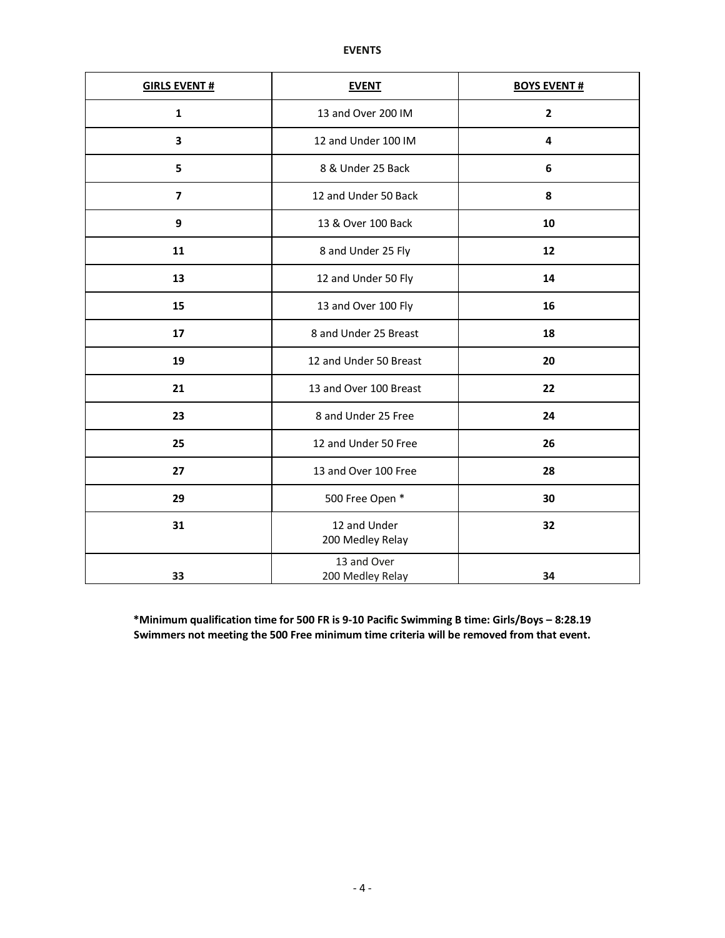| <b>GIRLS EVENT#</b>     | <b>EVENT</b>                     | <b>BOYS EVENT#</b>      |  |  |  |  |
|-------------------------|----------------------------------|-------------------------|--|--|--|--|
| $\mathbf{1}$            | 13 and Over 200 IM               | $\overline{\mathbf{c}}$ |  |  |  |  |
| 3                       | 12 and Under 100 IM              | 4                       |  |  |  |  |
| 5                       | 8 & Under 25 Back                | $\boldsymbol{6}$        |  |  |  |  |
| $\overline{\mathbf{z}}$ | 12 and Under 50 Back             | 8                       |  |  |  |  |
| 9                       | 13 & Over 100 Back               | 10                      |  |  |  |  |
| 11                      | 8 and Under 25 Fly               | 12                      |  |  |  |  |
| 13                      | 12 and Under 50 Fly              | 14                      |  |  |  |  |
| 15                      | 13 and Over 100 Fly              | 16                      |  |  |  |  |
| 17                      | 8 and Under 25 Breast            | 18                      |  |  |  |  |
| 19                      | 12 and Under 50 Breast           | 20                      |  |  |  |  |
| 21                      | 13 and Over 100 Breast           | 22                      |  |  |  |  |
| 23                      | 8 and Under 25 Free              | 24                      |  |  |  |  |
| 25                      | 12 and Under 50 Free             | 26                      |  |  |  |  |
| 27                      | 13 and Over 100 Free             | 28                      |  |  |  |  |
| 29                      | 500 Free Open *                  | 30                      |  |  |  |  |
| 31                      | 12 and Under<br>200 Medley Relay | 32                      |  |  |  |  |
| 33                      | 13 and Over<br>200 Medley Relay  | 34                      |  |  |  |  |

**\*Minimum qualification time for 500 FR is 9-10 Pacific Swimming B time: Girls/Boys – 8:28.19 Swimmers not meeting the 500 Free minimum time criteria will be removed from that event.**